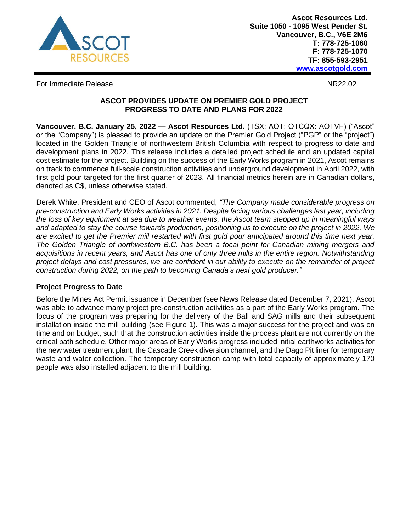

**Ascot Resources Ltd. Suite 1050 - 1095 West Pender St. Vancouver, B.C., V6E 2M6 T: 778-725-1060 F: 778-725-1070 TF: 855-593-2951 www.ascotgold.com**

For Immediate Release NR22.02

# **ASCOT PROVIDES UPDATE ON PREMIER GOLD PROJECT PROGRESS TO DATE AND PLANS FOR 2022**

**Vancouver, B.C. January 25, 2022 — Ascot Resources Ltd.** (TSX: AOT; OTCQX: AOTVF) ("Ascot" or the "Company") is pleased to provide an update on the Premier Gold Project ("PGP" or the "project") located in the Golden Triangle of northwestern British Columbia with respect to progress to date and development plans in 2022. This release includes a detailed project schedule and an updated capital cost estimate for the project. Building on the success of the Early Works program in 2021, Ascot remains on track to commence full-scale construction activities and underground development in April 2022, with first gold pour targeted for the first quarter of 2023. All financial metrics herein are in Canadian dollars, denoted as C\$, unless otherwise stated.

Derek White, President and CEO of Ascot commented, *"The Company made considerable progress on pre-construction and Early Works activities in 2021. Despite facing various challenges last year, including the loss of key equipment at sea due to weather events, the Ascot team stepped up in meaningful ways and adapted to stay the course towards production, positioning us to execute on the project in 2022. We are excited to get the Premier mill restarted with first gold pour anticipated around this time next year. The Golden Triangle of northwestern B.C. has been a focal point for Canadian mining mergers and acquisitions in recent years, and Ascot has one of only three mills in the entire region. Notwithstanding project delays and cost pressures, we are confident in our ability to execute on the remainder of project construction during 2022, on the path to becoming Canada's next gold producer."*

# **Project Progress to Date**

Before the Mines Act Permit issuance in December (see News Release dated December 7, 2021), Ascot was able to advance many project pre-construction activities as a part of the Early Works program. The focus of the program was preparing for the delivery of the Ball and SAG mills and their subsequent installation inside the mill building (see Figure 1). This was a major success for the project and was on time and on budget, such that the construction activities inside the process plant are not currently on the critical path schedule. Other major areas of Early Works progress included initial earthworks activities for the new water treatment plant, the Cascade Creek diversion channel, and the Dago Pit liner for temporary waste and water collection. The temporary construction camp with total capacity of approximately 170 people was also installed adjacent to the mill building.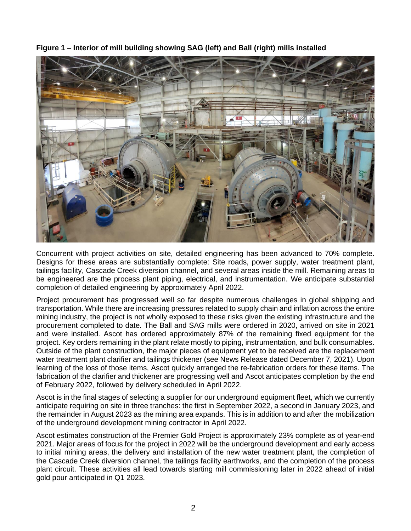

**Figure 1 – Interior of mill building showing SAG (left) and Ball (right) mills installed**

Concurrent with project activities on site, detailed engineering has been advanced to 70% complete. Designs for these areas are substantially complete: Site roads, power supply, water treatment plant, tailings facility, Cascade Creek diversion channel, and several areas inside the mill. Remaining areas to be engineered are the process plant piping, electrical, and instrumentation. We anticipate substantial completion of detailed engineering by approximately April 2022.

Project procurement has progressed well so far despite numerous challenges in global shipping and transportation. While there are increasing pressures related to supply chain and inflation across the entire mining industry, the project is not wholly exposed to these risks given the existing infrastructure and the procurement completed to date. The Ball and SAG mills were ordered in 2020, arrived on site in 2021 and were installed. Ascot has ordered approximately 87% of the remaining fixed equipment for the project. Key orders remaining in the plant relate mostly to piping, instrumentation, and bulk consumables. Outside of the plant construction, the major pieces of equipment yet to be received are the replacement water treatment plant clarifier and tailings thickener (see News Release dated December 7, 2021). Upon learning of the loss of those items, Ascot quickly arranged the re-fabrication orders for these items. The fabrication of the clarifier and thickener are progressing well and Ascot anticipates completion by the end of February 2022, followed by delivery scheduled in April 2022.

Ascot is in the final stages of selecting a supplier for our underground equipment fleet, which we currently anticipate requiring on site in three tranches: the first in September 2022, a second in January 2023, and the remainder in August 2023 as the mining area expands. This is in addition to and after the mobilization of the underground development mining contractor in April 2022.

Ascot estimates construction of the Premier Gold Project is approximately 23% complete as of year-end 2021. Major areas of focus for the project in 2022 will be the underground development and early access to initial mining areas, the delivery and installation of the new water treatment plant, the completion of the Cascade Creek diversion channel, the tailings facility earthworks, and the completion of the process plant circuit. These activities all lead towards starting mill commissioning later in 2022 ahead of initial gold pour anticipated in Q1 2023.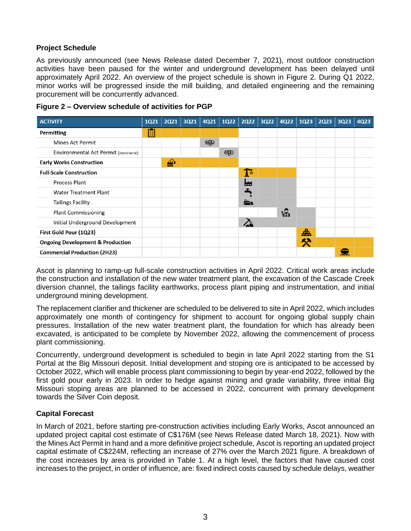# **Project Schedule**

As previously announced (see News Release dated December 7, 2021), most outdoor construction activities have been paused for the winter and underground development has been delayed until approximately April 2022. An overview of the project schedule is shown in Figure 2. During Q1 2022, minor works will be progressed inside the mill building, and detailed engineering and the remaining procurement will be concurrently advanced.

| <b>ACTIVITY</b>                             | <b>1Q21</b> | <b>2Q21</b> | 3Q21 | 4Q21         | <b>1Q22</b>  | <b>2Q22</b>  | $3Q22 \mid 4Q22 \mid$ | <b>1Q23</b> | <b>2Q23</b> | 3Q23 | 4Q23 |
|---------------------------------------------|-------------|-------------|------|--------------|--------------|--------------|-----------------------|-------------|-------------|------|------|
| Permitting                                  | 闥           |             |      |              |              |              |                       |             |             |      |      |
| <b>Mines Act Permit</b>                     |             |             |      | $\mathbb{R}$ |              |              |                       |             |             |      |      |
| Environmental Act Permit (imminent)         |             |             |      |              | $\mathbb{R}$ |              |                       |             |             |      |      |
| <b>Early Works Construction</b>             |             | ♠           |      |              |              |              |                       |             |             |      |      |
| <b>Full-Scale Construction</b>              |             |             |      |              |              | $\mathbf{I}$ |                       |             |             |      |      |
| Process Plant                               |             |             |      |              |              | ш            |                       |             |             |      |      |
| <b>Water Treatment Plant</b>                |             |             |      |              |              |              |                       |             |             |      |      |
| <b>Tailings Facility</b>                    |             |             |      |              |              | à.           |                       |             |             |      |      |
| <b>Plant Commissioning</b>                  |             |             |      |              |              |              | 恪                     |             |             |      |      |
| Initial Underground Development             |             |             |      |              |              | $\lambda$    |                       |             |             |      |      |
| First Gold Pour (1Q23)                      |             |             |      |              |              |              |                       | 盀           |             |      |      |
| <b>Ongoing Development &amp; Production</b> |             |             |      |              |              |              |                       | 癸           |             |      |      |
| <b>Commercial Production (2H23)</b>         |             |             |      |              |              |              |                       |             |             |      |      |

**Figure 2 – Overview schedule of activities for PGP** 

Ascot is planning to ramp-up full-scale construction activities in April 2022. Critical work areas include the construction and installation of the new water treatment plant, the excavation of the Cascade Creek diversion channel, the tailings facility earthworks, process plant piping and instrumentation, and initial underground mining development.

The replacement clarifier and thickener are scheduled to be delivered to site in April 2022, which includes approximately one month of contingency for shipment to account for ongoing global supply chain pressures. Installation of the new water treatment plant, the foundation for which has already been excavated, is anticipated to be complete by November 2022, allowing the commencement of process plant commissioning.

Concurrently, underground development is scheduled to begin in late April 2022 starting from the S1 Portal at the Big Missouri deposit. Initial development and stoping ore is anticipated to be accessed by October 2022, which will enable process plant commissioning to begin by year-end 2022, followed by the first gold pour early in 2023. In order to hedge against mining and grade variability, three initial Big Missouri stoping areas are planned to be accessed in 2022, concurrent with primary development towards the Silver Coin deposit.

# **Capital Forecast**

In March of 2021, before starting pre-construction activities including Early Works, Ascot announced an updated project capital cost estimate of C\$176M (see News Release dated March 18, 2021). Now with the Mines Act Permit in hand and a more definitive project schedule, Ascot is reporting an updated project capital estimate of C\$224M, reflecting an increase of 27% over the March 2021 figure. A breakdown of the cost increases by area is provided in Table 1. At a high level, the factors that have caused cost increases to the project, in order of influence, are: fixed indirect costs caused by schedule delays, weather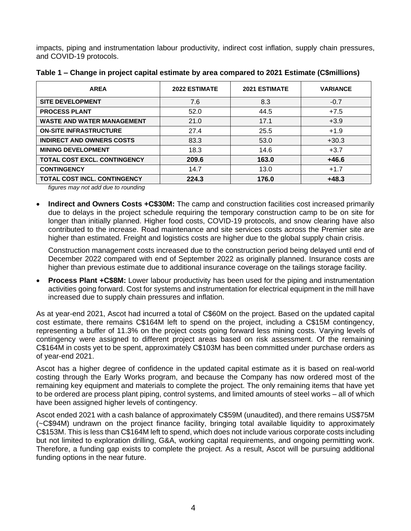impacts, piping and instrumentation labour productivity, indirect cost inflation, supply chain pressures, and COVID-19 protocols.

| <b>AREA</b>                         | <b>2022 ESTIMATE</b> | <b>2021 ESTIMATE</b> | <b>VARIANCE</b> |
|-------------------------------------|----------------------|----------------------|-----------------|
| <b>SITE DEVELOPMENT</b>             | 7.6                  | 8.3                  | $-0.7$          |
| <b>PROCESS PLANT</b>                | 52.0                 | 44.5                 | $+7.5$          |
| <b>WASTE AND WATER MANAGEMENT</b>   | 21.0                 | 17.1                 | $+3.9$          |
| <b>ON-SITE INFRASTRUCTURE</b>       | 27.4                 | 25.5                 | $+1.9$          |
| <b>INDIRECT AND OWNERS COSTS</b>    | 83.3                 | 53.0                 | $+30.3$         |
| <b>MINING DEVELOPMENT</b>           | 18.3                 | 14.6                 | $+3.7$          |
| <b>TOTAL COST EXCL. CONTINGENCY</b> | 209.6                | 163.0                | $+46.6$         |
| <b>CONTINGENCY</b>                  | 14.7                 | 13.0                 | $+1.7$          |
| <b>TOTAL COST INCL. CONTINGENCY</b> | 224.3                | 176.0                | $+48.3$         |

| Table 1 – Change in project capital estimate by area compared to 2021 Estimate (C\$millions) |
|----------------------------------------------------------------------------------------------|
|----------------------------------------------------------------------------------------------|

*figures may not add due to rounding*

• **Indirect and Owners Costs +C\$30M:** The camp and construction facilities cost increased primarily due to delays in the project schedule requiring the temporary construction camp to be on site for longer than initially planned. Higher food costs, COVID-19 protocols, and snow clearing have also contributed to the increase. Road maintenance and site services costs across the Premier site are higher than estimated. Freight and logistics costs are higher due to the global supply chain crisis.

Construction management costs increased due to the construction period being delayed until end of December 2022 compared with end of September 2022 as originally planned. Insurance costs are higher than previous estimate due to additional insurance coverage on the tailings storage facility.

**Process Plant +C\$8M:** Lower labour productivity has been used for the piping and instrumentation activities going forward. Cost for systems and instrumentation for electrical equipment in the mill have increased due to supply chain pressures and inflation.

As at year-end 2021, Ascot had incurred a total of C\$60M on the project. Based on the updated capital cost estimate, there remains C\$164M left to spend on the project, including a C\$15M contingency, representing a buffer of 11.3% on the project costs going forward less mining costs. Varying levels of contingency were assigned to different project areas based on risk assessment. Of the remaining C\$164M in costs yet to be spent, approximately C\$103M has been committed under purchase orders as of year-end 2021.

Ascot has a higher degree of confidence in the updated capital estimate as it is based on real-world costing through the Early Works program, and because the Company has now ordered most of the remaining key equipment and materials to complete the project. The only remaining items that have yet to be ordered are process plant piping, control systems, and limited amounts of steel works – all of which have been assigned higher levels of contingency.

Ascot ended 2021 with a cash balance of approximately C\$59M (unaudited), and there remains US\$75M (~C\$94M) undrawn on the project finance facility, bringing total available liquidity to approximately C\$153M. This is less than C\$164M left to spend, which does not include various corporate costs including but not limited to exploration drilling, G&A, working capital requirements, and ongoing permitting work. Therefore, a funding gap exists to complete the project. As a result, Ascot will be pursuing additional funding options in the near future.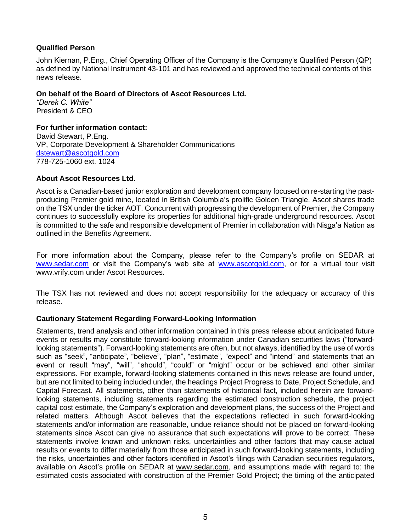## **Qualified Person**

John Kiernan, P.Eng., Chief Operating Officer of the Company is the Company's Qualified Person (QP) as defined by National Instrument 43-101 and has reviewed and approved the technical contents of this news release.

### **On behalf of the Board of Directors of Ascot Resources Ltd.**

*"Derek C. White"* President & CEO

### **For further information contact:**

David Stewart, P.Eng. VP, Corporate Development & Shareholder Communications [dstewart@ascotgold.com](mailto:dstewart@ascotgold.com) 778-725-1060 ext. 1024

### **About Ascot Resources Ltd.**

Ascot is a Canadian-based junior exploration and development company focused on re-starting the pastproducing Premier gold mine, located in British Columbia's prolific Golden Triangle. Ascot shares trade on the TSX under the ticker AOT. Concurrent with progressing the development of Premier, the Company continues to successfully explore its properties for additional high-grade underground resources. Ascot is committed to the safe and responsible development of Premier in collaboration with Nisga'a Nation as outlined in the Benefits Agreement.

For more information about the Company, please refer to the Company's profile on SEDAR at [www.sedar.com](http://www.sedar.com/) or visit the Company's web site at [www.ascotgold.com,](http://www.ascotgold.com/) or for a virtual tour visit [www.vrify.com](http://www.vrify.com/) under Ascot Resources.

The TSX has not reviewed and does not accept responsibility for the adequacy or accuracy of this release.

# **Cautionary Statement Regarding Forward-Looking Information**

Statements, trend analysis and other information contained in this press release about anticipated future events or results may constitute forward-looking information under Canadian securities laws ("forwardlooking statements"). Forward-looking statements are often, but not always, identified by the use of words such as "seek", "anticipate", "believe", "plan", "estimate", "expect" and "intend" and statements that an event or result "may", "will", "should", "could" or "might" occur or be achieved and other similar expressions. For example, forward-looking statements contained in this news release are found under, but are not limited to being included under, the headings Project Progress to Date, Project Schedule, and Capital Forecast. All statements, other than statements of historical fact, included herein are forwardlooking statements, including statements regarding the estimated construction schedule, the project capital cost estimate, the Company's exploration and development plans, the success of the Project and related matters. Although Ascot believes that the expectations reflected in such forward-looking statements and/or information are reasonable, undue reliance should not be placed on forward-looking statements since Ascot can give no assurance that such expectations will prove to be correct. These statements involve known and unknown risks, uncertainties and other factors that may cause actual results or events to differ materially from those anticipated in such forward-looking statements, including the risks, uncertainties and other factors identified in Ascot's filings with Canadian securities regulators, available on Ascot's profile on SEDAR at [www.sedar.com,](http://www.sedar.com/) and assumptions made with regard to: the estimated costs associated with construction of the Premier Gold Project; the timing of the anticipated